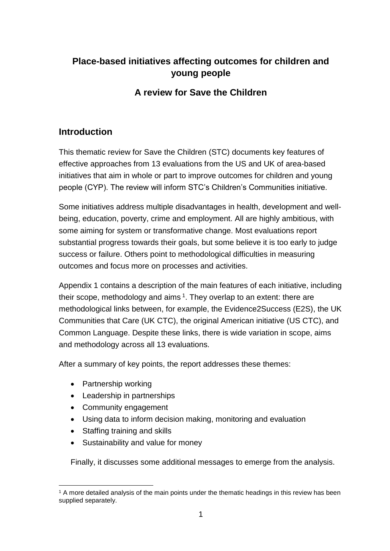## **Place-based initiatives affecting outcomes for children and young people**

### **A review for Save the Children**

### **Introduction**

This thematic review for Save the Children (STC) documents key features of effective approaches from 13 evaluations from the US and UK of area-based initiatives that aim in whole or part to improve outcomes for children and young people (CYP). The review will inform STC's Children's Communities initiative.

Some initiatives address multiple disadvantages in health, development and wellbeing, education, poverty, crime and employment. All are highly ambitious, with some aiming for system or transformative change. Most evaluations report substantial progress towards their goals, but some believe it is too early to judge success or failure. Others point to methodological difficulties in measuring outcomes and focus more on processes and activities.

Appendix 1 contains a description of the main features of each initiative, including their scope, methodology and aims  $1$ . They overlap to an extent: there are methodological links between, for example, the Evidence2Success (E2S), the UK Communities that Care (UK CTC), the original American initiative (US CTC), and Common Language. Despite these links, there is wide variation in scope, aims and methodology across all 13 evaluations.

After a summary of key points, the report addresses these themes:

- Partnership working
- Leadership in partnerships
- Community engagement
- Using data to inform decision making, monitoring and evaluation
- Staffing training and skills
- Sustainability and value for money

Finally, it discusses some additional messages to emerge from the analysis.

l <sup>1</sup> A more detailed analysis of the main points under the thematic headings in this review has been supplied separately.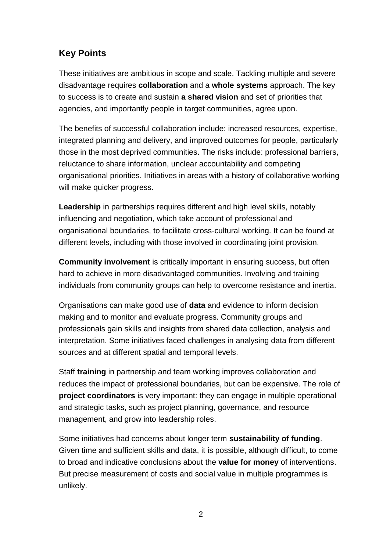## **Key Points**

These initiatives are ambitious in scope and scale. Tackling multiple and severe disadvantage requires **collaboration** and a **whole systems** approach. The key to success is to create and sustain **a shared vision** and set of priorities that agencies, and importantly people in target communities, agree upon.

The benefits of successful collaboration include: increased resources, expertise, integrated planning and delivery, and improved outcomes for people, particularly those in the most deprived communities. The risks include: professional barriers, reluctance to share information, unclear accountability and competing organisational priorities. Initiatives in areas with a history of collaborative working will make quicker progress.

**Leadership** in partnerships requires different and high level skills, notably influencing and negotiation, which take account of professional and organisational boundaries, to facilitate cross-cultural working. It can be found at different levels, including with those involved in coordinating joint provision.

**Community involvement** is critically important in ensuring success, but often hard to achieve in more disadvantaged communities. Involving and training individuals from community groups can help to overcome resistance and inertia.

Organisations can make good use of **data** and evidence to inform decision making and to monitor and evaluate progress. Community groups and professionals gain skills and insights from shared data collection, analysis and interpretation. Some initiatives faced challenges in analysing data from different sources and at different spatial and temporal levels.

Staff **training** in partnership and team working improves collaboration and reduces the impact of professional boundaries, but can be expensive. The role of **project coordinators** is very important: they can engage in multiple operational and strategic tasks, such as project planning, governance, and resource management, and grow into leadership roles.

Some initiatives had concerns about longer term **sustainability of funding**. Given time and sufficient skills and data, it is possible, although difficult, to come to broad and indicative conclusions about the **value for money** of interventions. But precise measurement of costs and social value in multiple programmes is unlikely.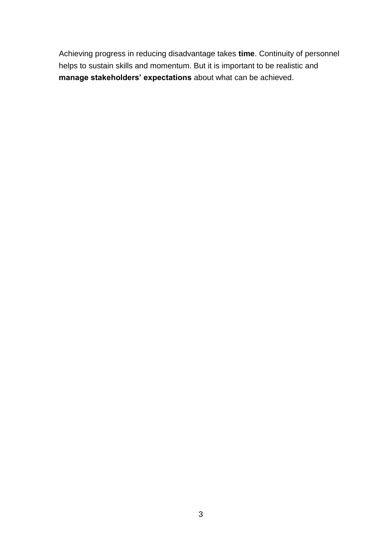Achieving progress in reducing disadvantage takes **time**. Continuity of personnel helps to sustain skills and momentum. But it is important to be realistic and **manage stakeholders' expectations** about what can be achieved.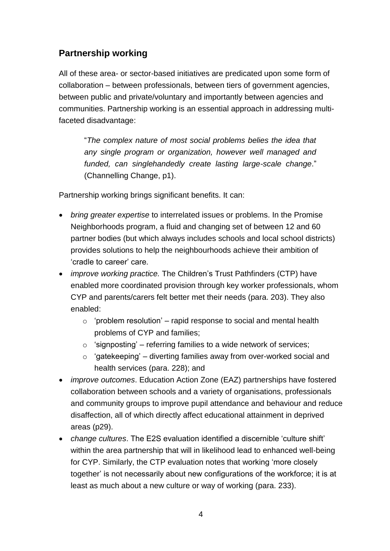## **Partnership working**

All of these area- or sector-based initiatives are predicated upon some form of collaboration – between professionals, between tiers of government agencies, between public and private/voluntary and importantly between agencies and communities. Partnership working is an essential approach in addressing multifaceted disadvantage:

"*The complex nature of most social problems belies the idea that any single program or organization, however well managed and funded, can singlehandedly create lasting large-scale change*." (Channelling Change, p1).

Partnership working brings significant benefits. It can:

- *bring greater expertise* to interrelated issues or problems. In the Promise Neighborhoods program, a fluid and changing set of between 12 and 60 partner bodies (but which always includes schools and local school districts) provides solutions to help the neighbourhoods achieve their ambition of 'cradle to career' care.
- *improve working practice.* The Children's Trust Pathfinders (CTP) have enabled more coordinated provision through key worker professionals, whom CYP and parents/carers felt better met their needs (para. 203). They also enabled:
	- $\circ$  'problem resolution' rapid response to social and mental health problems of CYP and families;
	- $\circ$  'signposting' referring families to a wide network of services;
	- $\circ$  'gatekeeping' diverting families away from over-worked social and health services (para. 228); and
- *improve outcomes*. Education Action Zone (EAZ) partnerships have fostered collaboration between schools and a variety of organisations, professionals and community groups to improve pupil attendance and behaviour and reduce disaffection, all of which directly affect educational attainment in deprived areas (p29).
- *change cultures*. The E2S evaluation identified a discernible 'culture shift' within the area partnership that will in likelihood lead to enhanced well-being for CYP. Similarly, the CTP evaluation notes that working 'more closely together' is not necessarily about new configurations of the workforce; it is at least as much about a new culture or way of working (para. 233).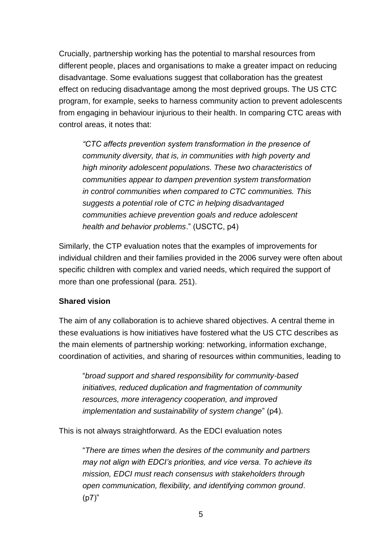Crucially, partnership working has the potential to marshal resources from different people, places and organisations to make a greater impact on reducing disadvantage. Some evaluations suggest that collaboration has the greatest effect on reducing disadvantage among the most deprived groups. The US CTC program, for example, seeks to harness community action to prevent adolescents from engaging in behaviour injurious to their health. In comparing CTC areas with control areas, it notes that:

*"CTC affects prevention system transformation in the presence of community diversity, that is, in communities with high poverty and high minority adolescent populations. These two characteristics of communities appear to dampen prevention system transformation in control communities when compared to CTC communities. This suggests a potential role of CTC in helping disadvantaged communities achieve prevention goals and reduce adolescent health and behavior problems*." (USCTC, p4)

Similarly, the CTP evaluation notes that the examples of improvements for individual children and their families provided in the 2006 survey were often about specific children with complex and varied needs, which required the support of more than one professional (para. 251).

### **Shared vision**

The aim of any collaboration is to achieve shared objectives. A central theme in these evaluations is how initiatives have fostered what the US CTC describes as the main elements of partnership working: networking, information exchange, coordination of activities, and sharing of resources within communities, leading to

"*broad support and shared responsibility for community-based initiatives, reduced duplication and fragmentation of community resources, more interagency cooperation, and improved implementation and sustainability of system change*" (p4).

This is not always straightforward. As the EDCI evaluation notes

"*There are times when the desires of the community and partners may not align with EDCI's priorities, and vice versa. To achieve its mission, EDCI must reach consensus with stakeholders through open communication, flexibility, and identifying common ground*. (p7)"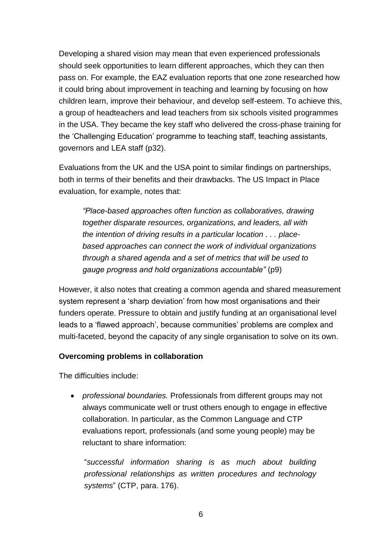Developing a shared vision may mean that even experienced professionals should seek opportunities to learn different approaches, which they can then pass on. For example, the EAZ evaluation reports that one zone researched how it could bring about improvement in teaching and learning by focusing on how children learn, improve their behaviour, and develop self-esteem. To achieve this, a group of headteachers and lead teachers from six schools visited programmes in the USA. They became the key staff who delivered the cross-phase training for the 'Challenging Education' programme to teaching staff, teaching assistants, governors and LEA staff (p32).

Evaluations from the UK and the USA point to similar findings on partnerships, both in terms of their benefits and their drawbacks. The US Impact in Place evaluation, for example, notes that:

*"Place-based approaches often function as collaboratives, drawing together disparate resources, organizations, and leaders, all with the intention of driving results in a particular location . . . placebased approaches can connect the work of individual organizations through a shared agenda and a set of metrics that will be used to gauge progress and hold organizations accountable"* (p9)

However, it also notes that creating a common agenda and shared measurement system represent a 'sharp deviation' from how most organisations and their funders operate. Pressure to obtain and justify funding at an organisational level leads to a 'flawed approach', because communities' problems are complex and multi-faceted, beyond the capacity of any single organisation to solve on its own.

#### **Overcoming problems in collaboration**

The difficulties include:

• *professional boundaries.* Professionals from different groups may not always communicate well or trust others enough to engage in effective collaboration. In particular, as the Common Language and CTP evaluations report, professionals (and some young people) may be reluctant to share information:

"*successful information sharing is as much about building professional relationships as written procedures and technology systems*" (CTP, para. 176).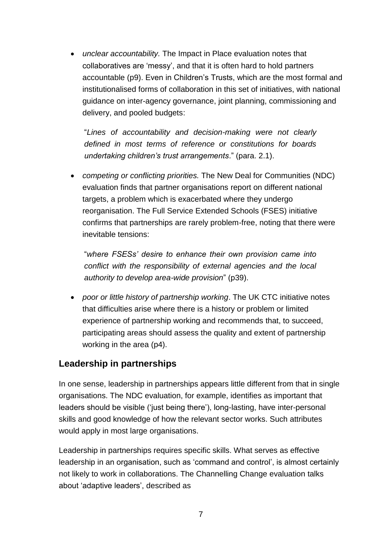• *unclear accountability.* The Impact in Place evaluation notes that collaboratives are 'messy', and that it is often hard to hold partners accountable (p9). Even in Children's Trusts, which are the most formal and institutionalised forms of collaboration in this set of initiatives, with national guidance on inter-agency governance, joint planning, commissioning and delivery, and pooled budgets:

"*Lines of accountability and decision-making were not clearly defined in most terms of reference or constitutions for boards undertaking children's trust arrangements*." (para. 2.1).

• *competing or conflicting priorities.* The New Deal for Communities (NDC) evaluation finds that partner organisations report on different national targets, a problem which is exacerbated where they undergo reorganisation. The Full Service Extended Schools (FSES) initiative confirms that partnerships are rarely problem-free, noting that there were inevitable tensions:

"*where FSESs' desire to enhance their own provision came into conflict with the responsibility of external agencies and the local authority to develop area-wide provision*" (p39).

• *poor or little history of partnership working*. The UK CTC initiative notes that difficulties arise where there is a history or problem or limited experience of partnership working and recommends that, to succeed, participating areas should assess the quality and extent of partnership working in the area (p4).

### **Leadership in partnerships**

In one sense, leadership in partnerships appears little different from that in single organisations. The NDC evaluation, for example, identifies as important that leaders should be visible ('just being there'), long-lasting, have inter-personal skills and good knowledge of how the relevant sector works. Such attributes would apply in most large organisations.

Leadership in partnerships requires specific skills. What serves as effective leadership in an organisation, such as 'command and control', is almost certainly not likely to work in collaborations. The Channelling Change evaluation talks about 'adaptive leaders', described as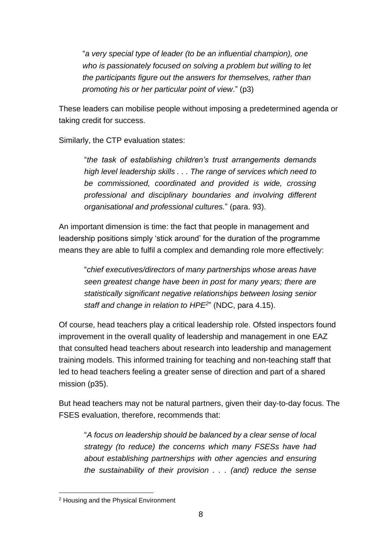"*a very special type of leader (to be an influential champion), one who is passionately focused on solving a problem but willing to let the participants figure out the answers for themselves, rather than promoting his or her particular point of view*." (p3)

These leaders can mobilise people without imposing a predetermined agenda or taking credit for success.

Similarly, the CTP evaluation states:

"*the task of establishing children's trust arrangements demands high level leadership skills . . . The range of services which need to be commissioned, coordinated and provided is wide, crossing professional and disciplinary boundaries and involving different organisational and professional cultures.*" (para. 93).

An important dimension is time: the fact that people in management and leadership positions simply 'stick around' for the duration of the programme means they are able to fulfil a complex and demanding role more effectively:

"*chief executives/directors of many partnerships whose areas have seen greatest change have been in post for many years; there are statistically significant negative relationships between losing senior staff and change in relation to HPE<sup>2</sup>* " (NDC, para 4.15).

Of course, head teachers play a critical leadership role. Ofsted inspectors found improvement in the overall quality of leadership and management in one EAZ that consulted head teachers about research into leadership and management training models. This informed training for teaching and non-teaching staff that led to head teachers feeling a greater sense of direction and part of a shared mission (p35).

But head teachers may not be natural partners, given their day-to-day focus. The FSES evaluation, therefore, recommends that:

"*A focus on leadership should be balanced by a clear sense of local strategy (to reduce) the concerns which many FSESs have had about establishing partnerships with other agencies and ensuring the sustainability of their provision . . . (and) reduce the sense* 

l <sup>2</sup> Housing and the Physical Environment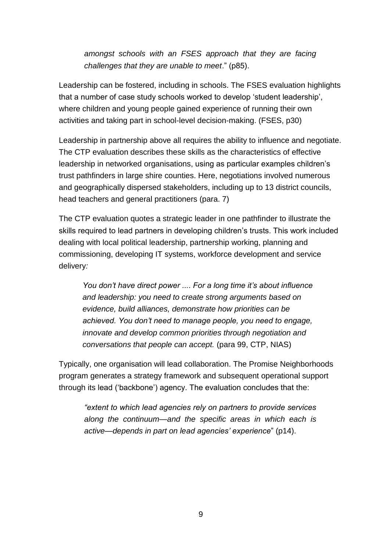*amongst schools with an FSES approach that they are facing challenges that they are unable to meet*." (p85).

Leadership can be fostered, including in schools. The FSES evaluation highlights that a number of case study schools worked to develop 'student leadership', where children and young people gained experience of running their own activities and taking part in school-level decision-making. (FSES, p30)

Leadership in partnership above all requires the ability to influence and negotiate. The CTP evaluation describes these skills as the characteristics of effective leadership in networked organisations, using as particular examples children's trust pathfinders in large shire counties. Here, negotiations involved numerous and geographically dispersed stakeholders, including up to 13 district councils, head teachers and general practitioners (para. 7)

The CTP evaluation quotes a strategic leader in one pathfinder to illustrate the skills required to lead partners in developing children's trusts. This work included dealing with local political leadership, partnership working, planning and commissioning, developing IT systems, workforce development and service delivery*:*

*You don't have direct power .... For a long time it's about influence and leadership: you need to create strong arguments based on evidence, build alliances, demonstrate how priorities can be achieved. You don't need to manage people, you need to engage, innovate and develop common priorities through negotiation and conversations that people can accept.* (para 99, CTP, NIAS)

Typically, one organisation will lead collaboration. The Promise Neighborhoods program generates a strategy framework and subsequent operational support through its lead ('backbone') agency. The evaluation concludes that the:

*"extent to which lead agencies rely on partners to provide services along the continuum—and the specific areas in which each is active—depends in part on lead agencies' experience*" (p14).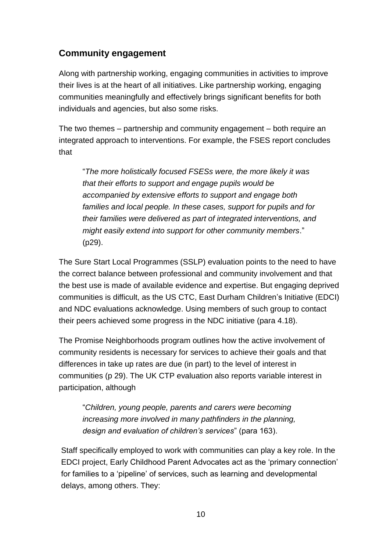## **Community engagement**

Along with partnership working, engaging communities in activities to improve their lives is at the heart of all initiatives. Like partnership working, engaging communities meaningfully and effectively brings significant benefits for both individuals and agencies, but also some risks.

The two themes – partnership and community engagement – both require an integrated approach to interventions. For example, the FSES report concludes that

"*The more holistically focused FSESs were, the more likely it was that their efforts to support and engage pupils would be accompanied by extensive efforts to support and engage both families and local people. In these cases, support for pupils and for their families were delivered as part of integrated interventions, and might easily extend into support for other community members*." (p29).

The Sure Start Local Programmes (SSLP) evaluation points to the need to have the correct balance between professional and community involvement and that the best use is made of available evidence and expertise. But engaging deprived communities is difficult, as the US CTC, East Durham Children's Initiative (EDCI) and NDC evaluations acknowledge. Using members of such group to contact their peers achieved some progress in the NDC initiative (para 4.18).

The Promise Neighborhoods program outlines how the active involvement of community residents is necessary for services to achieve their goals and that differences in take up rates are due (in part) to the level of interest in communities (p 29). The UK CTP evaluation also reports variable interest in participation, although

"*Children, young people, parents and carers were becoming increasing more involved in many pathfinders in the planning, design and evaluation of children's services*" (para 163).

Staff specifically employed to work with communities can play a key role. In the EDCI project, Early Childhood Parent Advocates act as the 'primary connection' for families to a 'pipeline' of services, such as learning and developmental delays, among others. They: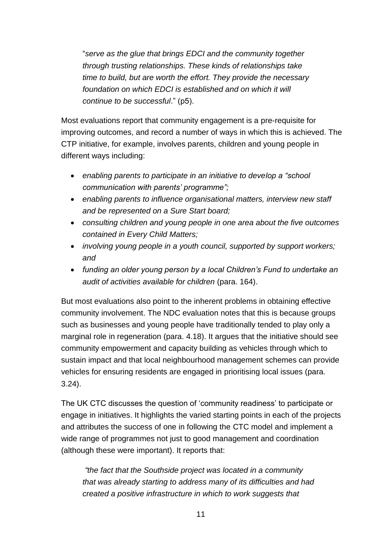"*serve as the glue that brings EDCI and the community together through trusting relationships. These kinds of relationships take time to build, but are worth the effort. They provide the necessary*  foundation on which EDCI is established and on which it will *continue to be successful*." (p5).

Most evaluations report that community engagement is a pre-requisite for improving outcomes, and record a number of ways in which this is achieved. The CTP initiative, for example, involves parents, children and young people in different ways including:

- *enabling parents to participate in an initiative to develop a "school communication with parents' programme";*
- *enabling parents to influence organisational matters, interview new staff and be represented on a Sure Start board;*
- *consulting children and young people in one area about the five outcomes contained in Every Child Matters;*
- *involving young people in a youth council, supported by support workers; and*
- *funding an older young person by a local Children's Fund to undertake an audit of activities available for children* (para. 164).

But most evaluations also point to the inherent problems in obtaining effective community involvement. The NDC evaluation notes that this is because groups such as businesses and young people have traditionally tended to play only a marginal role in regeneration (para. 4.18). It argues that the initiative should see community empowerment and capacity building as vehicles through which to sustain impact and that local neighbourhood management schemes can provide vehicles for ensuring residents are engaged in prioritising local issues (para. 3.24).

The UK CTC discusses the question of 'community readiness' to participate or engage in initiatives. It highlights the varied starting points in each of the projects and attributes the success of one in following the CTC model and implement a wide range of programmes not just to good management and coordination (although these were important). It reports that:

*"the fact that the Southside project was located in a community that was already starting to address many of its difficulties and had created a positive infrastructure in which to work suggests that*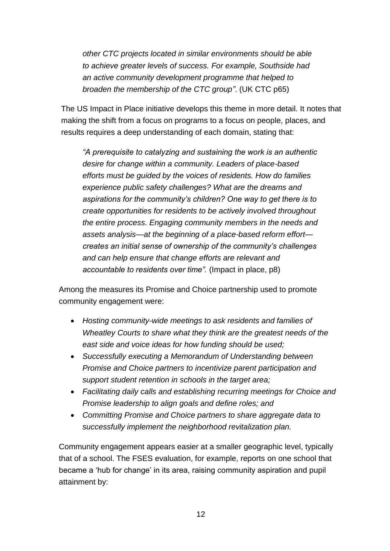*other CTC projects located in similar environments should be able to achieve greater levels of success. For example, Southside had an active community development programme that helped to broaden the membership of the CTC group"*. (UK CTC p65)

The US Impact in Place initiative develops this theme in more detail. It notes that making the shift from a focus on programs to a focus on people, places, and results requires a deep understanding of each domain, stating that:

*"A prerequisite to catalyzing and sustaining the work is an authentic desire for change within a community. Leaders of place-based efforts must be guided by the voices of residents. How do families experience public safety challenges? What are the dreams and aspirations for the community's children? One way to get there is to create opportunities for residents to be actively involved throughout the entire process. Engaging community members in the needs and assets analysis—at the beginning of a place-based reform effort creates an initial sense of ownership of the community's challenges and can help ensure that change efforts are relevant and accountable to residents over time".* (Impact in place, p8)

Among the measures its Promise and Choice partnership used to promote community engagement were:

- *Hosting community-wide meetings to ask residents and families of Wheatley Courts to share what they think are the greatest needs of the east side and voice ideas for how funding should be used;*
- *Successfully executing a Memorandum of Understanding between Promise and Choice partners to incentivize parent participation and support student retention in schools in the target area;*
- *Facilitating daily calls and establishing recurring meetings for Choice and Promise leadership to align goals and define roles; and*
- *Committing Promise and Choice partners to share aggregate data to successfully implement the neighborhood revitalization plan.*

Community engagement appears easier at a smaller geographic level, typically that of a school. The FSES evaluation, for example, reports on one school that became a 'hub for change' in its area, raising community aspiration and pupil attainment by: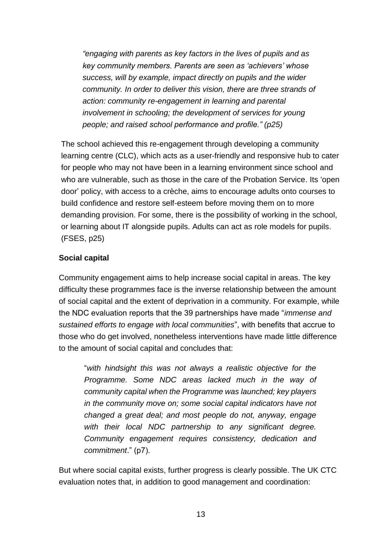*"engaging with parents as key factors in the lives of pupils and as key community members. Parents are seen as 'achievers' whose success, will by example, impact directly on pupils and the wider community. In order to deliver this vision, there are three strands of action: community re-engagement in learning and parental involvement in schooling; the development of services for young people; and raised school performance and profile." (p25)*

The school achieved this re-engagement through developing a community learning centre (CLC), which acts as a user-friendly and responsive hub to cater for people who may not have been in a learning environment since school and who are vulnerable, such as those in the care of the Probation Service. Its 'open door' policy, with access to a crèche, aims to encourage adults onto courses to build confidence and restore self-esteem before moving them on to more demanding provision. For some, there is the possibility of working in the school, or learning about IT alongside pupils. Adults can act as role models for pupils. (FSES, p25)

### **Social capital**

Community engagement aims to help increase social capital in areas. The key difficulty these programmes face is the inverse relationship between the amount of social capital and the extent of deprivation in a community. For example, while the NDC evaluation reports that the 39 partnerships have made "*immense and sustained efforts to engage with local communities*", with benefits that accrue to those who do get involved, nonetheless interventions have made little difference to the amount of social capital and concludes that:

"*with hindsight this was not always a realistic objective for the Programme. Some NDC areas lacked much in the way of community capital when the Programme was launched; key players in the community move on; some social capital indicators have not changed a great deal; and most people do not, anyway, engage with their local NDC partnership to any significant degree. Community engagement requires consistency, dedication and commitment*." (p7).

But where social capital exists, further progress is clearly possible. The UK CTC evaluation notes that, in addition to good management and coordination: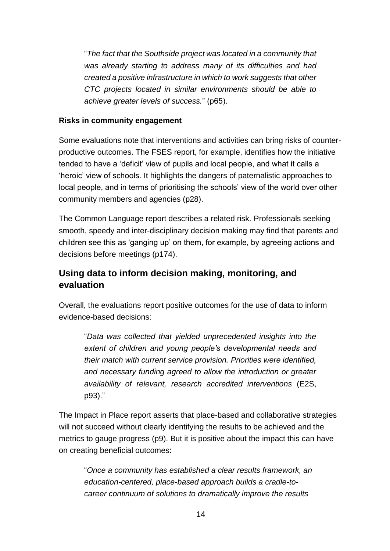"*The fact that the Southside project was located in a community that was already starting to address many of its difficulties and had created a positive infrastructure in which to work suggests that other CTC projects located in similar environments should be able to achieve greater levels of success.*" (p65).

#### **Risks in community engagement**

Some evaluations note that interventions and activities can bring risks of counterproductive outcomes. The FSES report, for example, identifies how the initiative tended to have a 'deficit' view of pupils and local people, and what it calls a 'heroic' view of schools. It highlights the dangers of paternalistic approaches to local people, and in terms of prioritising the schools' view of the world over other community members and agencies (p28).

The Common Language report describes a related risk. Professionals seeking smooth, speedy and inter-disciplinary decision making may find that parents and children see this as 'ganging up' on them, for example, by agreeing actions and decisions before meetings (p174).

## **Using data to inform decision making, monitoring, and evaluation**

Overall, the evaluations report positive outcomes for the use of data to inform evidence-based decisions:

"*Data was collected that yielded unprecedented insights into the extent of children and young people's developmental needs and their match with current service provision. Priorities were identified, and necessary funding agreed to allow the introduction or greater availability of relevant, research accredited interventions* (E2S, p93)."

The Impact in Place report asserts that place-based and collaborative strategies will not succeed without clearly identifying the results to be achieved and the metrics to gauge progress (p9). But it is positive about the impact this can have on creating beneficial outcomes:

"*Once a community has established a clear results framework, an education-centered, place-based approach builds a cradle-tocareer continuum of solutions to dramatically improve the results*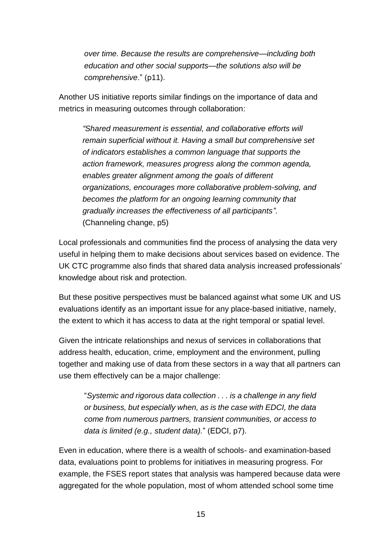*over time. Because the results are comprehensive—including both education and other social supports—the solutions also will be comprehensive*." (p11).

Another US initiative reports similar findings on the importance of data and metrics in measuring outcomes through collaboration:

*"Shared measurement is essential, and collaborative efforts will remain superficial without it. Having a small but comprehensive set of indicators establishes a common language that supports the action framework, measures progress along the common agenda, enables greater alignment among the goals of different organizations, encourages more collaborative problem-solving, and becomes the platform for an ongoing learning community that gradually increases the effectiveness of all participants"*. (Channeling change, p5)

Local professionals and communities find the process of analysing the data very useful in helping them to make decisions about services based on evidence. The UK CTC programme also finds that shared data analysis increased professionals' knowledge about risk and protection.

But these positive perspectives must be balanced against what some UK and US evaluations identify as an important issue for any place-based initiative, namely, the extent to which it has access to data at the right temporal or spatial level.

Given the intricate relationships and nexus of services in collaborations that address health, education, crime, employment and the environment, pulling together and making use of data from these sectors in a way that all partners can use them effectively can be a major challenge:

"*Systemic and rigorous data collection . . . is a challenge in any field or business, but especially when, as is the case with EDCI, the data come from numerous partners, transient communities, or access to data is limited (e.g., student data).*" (EDCI, p7).

Even in education, where there is a wealth of schools- and examination-based data, evaluations point to problems for initiatives in measuring progress. For example, the FSES report states that analysis was hampered because data were aggregated for the whole population, most of whom attended school some time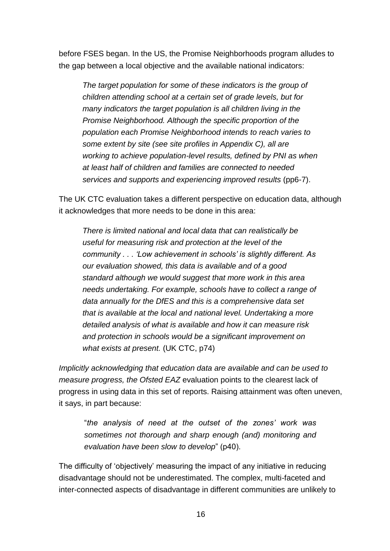before FSES began. In the US, the Promise Neighborhoods program alludes to the gap between a local objective and the available national indicators:

*The target population for some of these indicators is the group of children attending school at a certain set of grade levels, but for many indicators the target population is all children living in the Promise Neighborhood. Although the specific proportion of the population each Promise Neighborhood intends to reach varies to some extent by site (see site profiles in Appendix C), all are working to achieve population-level results, defined by PNI as when at least half of children and families are connected to needed services and supports and experiencing improved results* (pp6-7).

The UK CTC evaluation takes a different perspective on education data, although it acknowledges that more needs to be done in this area:

*There is limited national and local data that can realistically be useful for measuring risk and protection at the level of the community . . . 'Low achievement in schools' is slightly different. As our evaluation showed, this data is available and of a good standard although we would suggest that more work in this area needs undertaking. For example, schools have to collect a range of data annually for the DfES and this is a comprehensive data set that is available at the local and national level. Undertaking a more detailed analysis of what is available and how it can measure risk and protection in schools would be a significant improvement on what exists at present.* (UK CTC, p74)

*Implicitly acknowledging that education data are available and can be used to measure progress, the Ofsted EAZ* evaluation points to the clearest lack of progress in using data in this set of reports. Raising attainment was often uneven, it says, in part because:

"*the analysis of need at the outset of the zones' work was sometimes not thorough and sharp enough (and) monitoring and evaluation have been slow to develop*" (p40).

The difficulty of 'objectively' measuring the impact of any initiative in reducing disadvantage should not be underestimated. The complex, multi-faceted and inter-connected aspects of disadvantage in different communities are unlikely to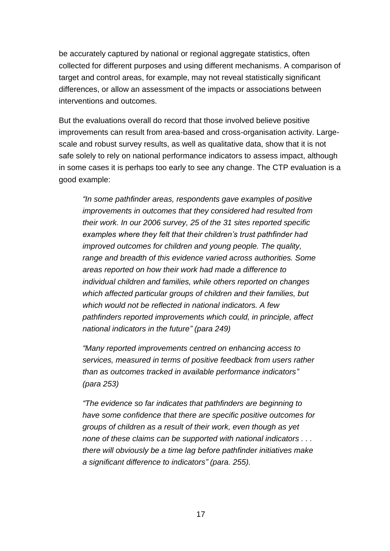be accurately captured by national or regional aggregate statistics, often collected for different purposes and using different mechanisms. A comparison of target and control areas, for example, may not reveal statistically significant differences, or allow an assessment of the impacts or associations between interventions and outcomes.

But the evaluations overall do record that those involved believe positive improvements can result from area-based and cross-organisation activity. Largescale and robust survey results, as well as qualitative data, show that it is not safe solely to rely on national performance indicators to assess impact, although in some cases it is perhaps too early to see any change. The CTP evaluation is a good example:

*"In some pathfinder areas, respondents gave examples of positive improvements in outcomes that they considered had resulted from their work. In our 2006 survey, 25 of the 31 sites reported specific examples where they felt that their children's trust pathfinder had improved outcomes for children and young people. The quality, range and breadth of this evidence varied across authorities. Some areas reported on how their work had made a difference to individual children and families, while others reported on changes which affected particular groups of children and their families, but which would not be reflected in national indicators. A few pathfinders reported improvements which could, in principle, affect national indicators in the future" (para 249)*

*"Many reported improvements centred on enhancing access to services, measured in terms of positive feedback from users rather than as outcomes tracked in available performance indicators" (para 253)*

*"The evidence so far indicates that pathfinders are beginning to have some confidence that there are specific positive outcomes for groups of children as a result of their work, even though as yet none of these claims can be supported with national indicators . . . there will obviously be a time lag before pathfinder initiatives make a significant difference to indicators" (para. 255).*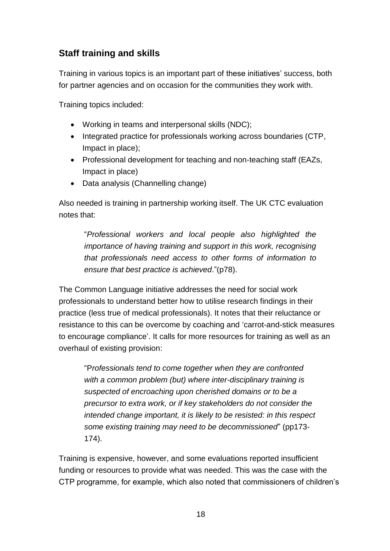## **Staff training and skills**

Training in various topics is an important part of these initiatives' success, both for partner agencies and on occasion for the communities they work with.

Training topics included:

- Working in teams and interpersonal skills (NDC);
- Integrated practice for professionals working across boundaries (CTP, Impact in place);
- Professional development for teaching and non-teaching staff (EAZs, Impact in place)
- Data analysis (Channelling change)

Also needed is training in partnership working itself. The UK CTC evaluation notes that:

"*Professional workers and local people also highlighted the importance of having training and support in this work, recognising that professionals need access to other forms of information to ensure that best practice is achieved*."(p78).

The Common Language initiative addresses the need for social work professionals to understand better how to utilise research findings in their practice (less true of medical professionals). It notes that their reluctance or resistance to this can be overcome by coaching and 'carrot-and-stick measures to encourage compliance'. It calls for more resources for training as well as an overhaul of existing provision:

"P*rofessionals tend to come together when they are confronted with a common problem (but) where inter-disciplinary training is suspected of encroaching upon cherished domains or to be a precursor to extra work, or if key stakeholders do not consider the intended change important, it is likely to be resisted: in this respect some existing training may need to be decommissioned*" (pp173- 174).

Training is expensive, however, and some evaluations reported insufficient funding or resources to provide what was needed. This was the case with the CTP programme, for example, which also noted that commissioners of children's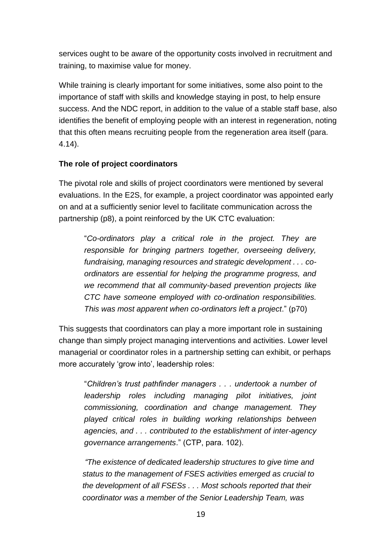services ought to be aware of the opportunity costs involved in recruitment and training, to maximise value for money.

While training is clearly important for some initiatives, some also point to the importance of staff with skills and knowledge staying in post, to help ensure success. And the NDC report, in addition to the value of a stable staff base, also identifies the benefit of employing people with an interest in regeneration, noting that this often means recruiting people from the regeneration area itself (para. 4.14).

### **The role of project coordinators**

The pivotal role and skills of project coordinators were mentioned by several evaluations. In the E2S, for example, a project coordinator was appointed early on and at a sufficiently senior level to facilitate communication across the partnership (p8), a point reinforced by the UK CTC evaluation:

"*Co-ordinators play a critical role in the project. They are responsible for bringing partners together, overseeing delivery, fundraising, managing resources and strategic development . . . coordinators are essential for helping the programme progress, and we recommend that all community-based prevention projects like CTC have someone employed with co-ordination responsibilities. This was most apparent when co-ordinators left a project*." (p70)

This suggests that coordinators can play a more important role in sustaining change than simply project managing interventions and activities. Lower level managerial or coordinator roles in a partnership setting can exhibit, or perhaps more accurately 'grow into', leadership roles:

"*Children's trust pathfinder managers . . . undertook a number of leadership roles including managing pilot initiatives, joint commissioning, coordination and change management. They played critical roles in building working relationships between agencies, and . . . contributed to the establishment of inter-agency governance arrangements*." (CTP, para. 102).

*"The existence of dedicated leadership structures to give time and status to the management of FSES activities emerged as crucial to the development of all FSESs . . . Most schools reported that their coordinator was a member of the Senior Leadership Team, was*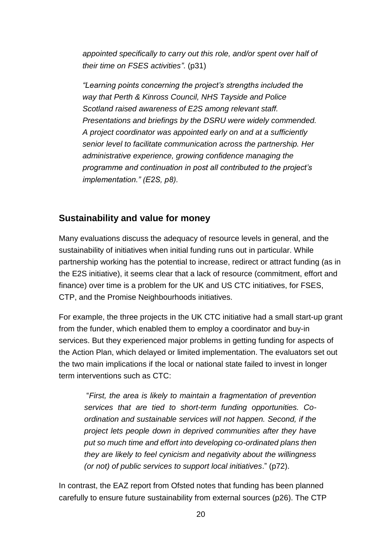appointed specifically to carry out this role, and/or spent over half of *their time on FSES activities"*. (p31)

*"Learning points concerning the project's strengths included the way that Perth & Kinross Council, NHS Tayside and Police Scotland raised awareness of E2S among relevant staff. Presentations and briefings by the DSRU were widely commended. A project coordinator was appointed early on and at a sufficiently senior level to facilitate communication across the partnership. Her administrative experience, growing confidence managing the programme and continuation in post all contributed to the project's implementation." (E2S, p8).*

### **Sustainability and value for money**

Many evaluations discuss the adequacy of resource levels in general, and the sustainability of initiatives when initial funding runs out in particular. While partnership working has the potential to increase, redirect or attract funding (as in the E2S initiative), it seems clear that a lack of resource (commitment, effort and finance) over time is a problem for the UK and US CTC initiatives, for FSES, CTP, and the Promise Neighbourhoods initiatives.

For example, the three projects in the UK CTC initiative had a small start-up grant from the funder, which enabled them to employ a coordinator and buy-in services. But they experienced major problems in getting funding for aspects of the Action Plan, which delayed or limited implementation. The evaluators set out the two main implications if the local or national state failed to invest in longer term interventions such as CTC:

"*First, the area is likely to maintain a fragmentation of prevention services that are tied to short-term funding opportunities. Coordination and sustainable services will not happen. Second, if the project lets people down in deprived communities after they have put so much time and effort into developing co-ordinated plans then they are likely to feel cynicism and negativity about the willingness (or not) of public services to support local initiatives*." (p72).

In contrast, the EAZ report from Ofsted notes that funding has been planned carefully to ensure future sustainability from external sources (p26). The CTP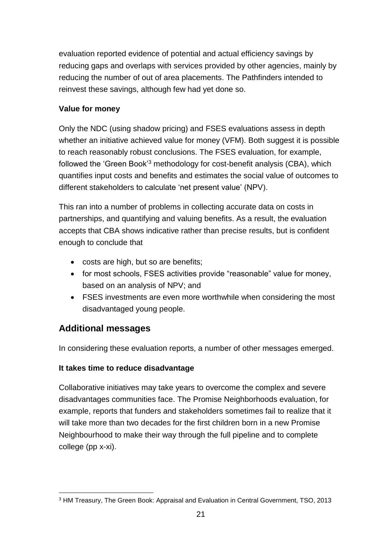evaluation reported evidence of potential and actual efficiency savings by reducing gaps and overlaps with services provided by other agencies, mainly by reducing the number of out of area placements. The Pathfinders intended to reinvest these savings, although few had yet done so.

### **Value for money**

Only the NDC (using shadow pricing) and FSES evaluations assess in depth whether an initiative achieved value for money (VFM). Both suggest it is possible to reach reasonably robust conclusions. The FSES evaluation, for example, followed the 'Green Book'<sup>3</sup> methodology for cost-benefit analysis (CBA), which quantifies input costs and benefits and estimates the social value of outcomes to different stakeholders to calculate 'net present value' (NPV).

This ran into a number of problems in collecting accurate data on costs in partnerships, and quantifying and valuing benefits. As a result, the evaluation accepts that CBA shows indicative rather than precise results, but is confident enough to conclude that

- costs are high, but so are benefits:
- for most schools, FSES activities provide "reasonable" value for money, based on an analysis of NPV; and
- FSES investments are even more worthwhile when considering the most disadvantaged young people.

## **Additional messages**

In considering these evaluation reports, a number of other messages emerged.

### **It takes time to reduce disadvantage**

Collaborative initiatives may take years to overcome the complex and severe disadvantages communities face. The Promise Neighborhoods evaluation, for example, reports that funders and stakeholders sometimes fail to realize that it will take more than two decades for the first children born in a new Promise Neighbourhood to make their way through the full pipeline and to complete college (pp x-xi).

l <sup>3</sup> HM Treasury, The Green Book: Appraisal and Evaluation in Central Government, TSO, 2013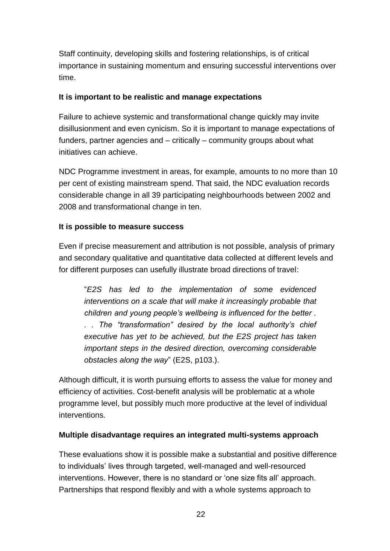Staff continuity, developing skills and fostering relationships, is of critical importance in sustaining momentum and ensuring successful interventions over time.

### **It is important to be realistic and manage expectations**

Failure to achieve systemic and transformational change quickly may invite disillusionment and even cynicism. So it is important to manage expectations of funders, partner agencies and – critically – community groups about what initiatives can achieve.

NDC Programme investment in areas, for example, amounts to no more than 10 per cent of existing mainstream spend. That said, the NDC evaluation records considerable change in all 39 participating neighbourhoods between 2002 and 2008 and transformational change in ten.

### **It is possible to measure success**

Even if precise measurement and attribution is not possible, analysis of primary and secondary qualitative and quantitative data collected at different levels and for different purposes can usefully illustrate broad directions of travel:

"*E2S has led to the implementation of some evidenced interventions on a scale that will make it increasingly probable that children and young people's wellbeing is influenced for the better . . . The "transformation" desired by the local authority's chief executive has yet to be achieved, but the E2S project has taken important steps in the desired direction, overcoming considerable obstacles along the way*" (E2S, p103.).

Although difficult, it is worth pursuing efforts to assess the value for money and efficiency of activities. Cost-benefit analysis will be problematic at a whole programme level, but possibly much more productive at the level of individual interventions.

### **Multiple disadvantage requires an integrated multi-systems approach**

These evaluations show it is possible make a substantial and positive difference to individuals' lives through targeted, well-managed and well-resourced interventions. However, there is no standard or 'one size fits all' approach. Partnerships that respond flexibly and with a whole systems approach to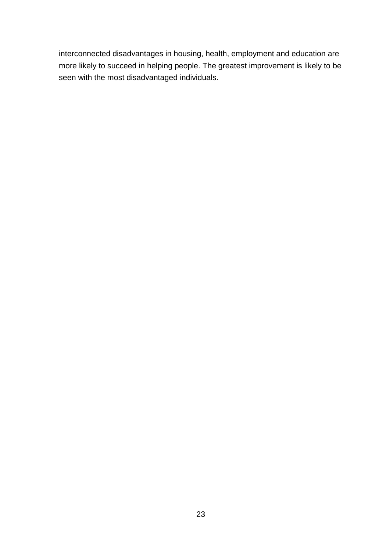interconnected disadvantages in housing, health, employment and education are more likely to succeed in helping people. The greatest improvement is likely to be seen with the most disadvantaged individuals.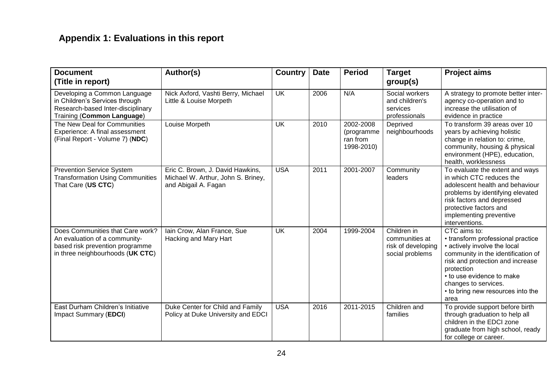# **Appendix 1: Evaluations in this report**

| <b>Document</b><br>(Title in report)                                                                                                     | Author(s)                                                                                      | <b>Country</b> | <b>Date</b> | <b>Period</b>                                     | <b>Target</b><br>group(s)                                              | <b>Project aims</b>                                                                                                                                                                                                                                                         |
|------------------------------------------------------------------------------------------------------------------------------------------|------------------------------------------------------------------------------------------------|----------------|-------------|---------------------------------------------------|------------------------------------------------------------------------|-----------------------------------------------------------------------------------------------------------------------------------------------------------------------------------------------------------------------------------------------------------------------------|
| Developing a Common Language<br>in Children's Services through<br>Research-based Inter-disciplinary<br>Training (Common Language)        | Nick Axford, Vashti Berry, Michael<br>Little & Louise Morpeth                                  | <b>UK</b>      | 2006        | N/A                                               | Social workers<br>and children's<br>services<br>professionals          | A strategy to promote better inter-<br>agency co-operation and to<br>increase the utilisation of<br>evidence in practice                                                                                                                                                    |
| The New Deal for Communities<br>Experience: A final assessment<br>(Final Report - Volume 7) (NDC)                                        | Louise Morpeth                                                                                 | <b>UK</b>      | 2010        | 2002-2008<br>(programme<br>ran from<br>1998-2010) | Deprived<br>neighbourhoods                                             | To transform 39 areas over 10<br>years by achieving holistic<br>change in relation to: crime,<br>community, housing & physical<br>environment (HPE), education,<br>health, worklessness                                                                                     |
| <b>Prevention Service System</b><br><b>Transformation Using Communities</b><br>That Care (US CTC)                                        | Eric C. Brown, J. David Hawkins,<br>Michael W. Arthur, John S. Briney,<br>and Abigail A. Fagan | <b>USA</b>     | 2011        | 2001-2007                                         | Community<br>leaders                                                   | To evaluate the extent and ways<br>in which CTC reduces the<br>adolescent health and behaviour<br>problems by identifying elevated<br>risk factors and depressed<br>protective factors and<br>implementing preventive<br>interventions.                                     |
| Does Communities that Care work?<br>An evaluation of a community-<br>based risk prevention programme<br>in three neighbourhoods (UK CTC) | lain Crow, Alan France, Sue<br>Hacking and Mary Hart                                           | <b>UK</b>      | 2004        | 1999-2004                                         | Children in<br>communities at<br>risk of developing<br>social problems | CTC aims to:<br>• transform professional practice<br>• actively involve the local<br>community in the identification of<br>risk and protection and increase<br>protection<br>• to use evidence to make<br>changes to services.<br>• to bring new resources into the<br>area |
| East Durham Children's Initiative<br>Impact Summary (EDCI)                                                                               | Duke Center for Child and Family<br>Policy at Duke University and EDCI                         | <b>USA</b>     | 2016        | 2011-2015                                         | Children and<br>families                                               | To provide support before birth<br>through graduation to help all<br>children in the EDCI zone<br>graduate from high school, ready<br>for college or career.                                                                                                                |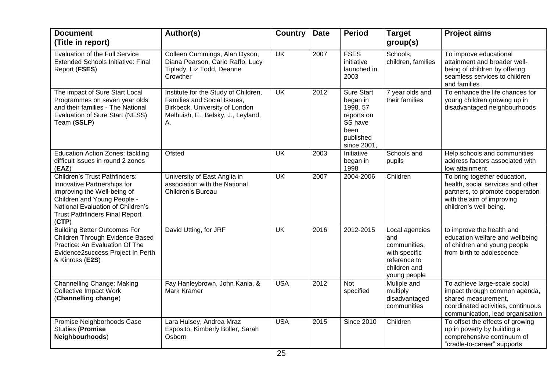| <b>Document</b><br>(Title in report)                                                                                                                                                                                     | Author(s)                                                                                                                                         | <b>Country</b>           | <b>Date</b> | <b>Period</b>                                                                                        | <b>Target</b><br>group(s)                                                                              | <b>Project aims</b>                                                                                                                                             |
|--------------------------------------------------------------------------------------------------------------------------------------------------------------------------------------------------------------------------|---------------------------------------------------------------------------------------------------------------------------------------------------|--------------------------|-------------|------------------------------------------------------------------------------------------------------|--------------------------------------------------------------------------------------------------------|-----------------------------------------------------------------------------------------------------------------------------------------------------------------|
| <b>Evaluation of the Full Service</b><br><b>Extended Schools Initiative: Final</b><br>Report (FSES)                                                                                                                      | Colleen Cummings, Alan Dyson,<br>Diana Pearson, Carlo Raffo, Lucy<br>Tiplady, Liz Todd, Deanne<br>Crowther                                        | $\overline{\mathsf{UK}}$ | 2007        | <b>FSES</b><br>initiative<br>launched in<br>2003                                                     | Schools,<br>children, families                                                                         | To improve educational<br>attainment and broader well-<br>being of children by offering<br>seamless services to children<br>and families                        |
| The impact of Sure Start Local<br>Programmes on seven year olds<br>and their families - The National<br>Evaluation of Sure Start (NESS)<br>Team (SSLP)                                                                   | Institute for the Study of Children,<br>Families and Social Issues,<br>Birkbeck, University of London<br>Melhuish, E., Belsky, J., Leyland,<br>Α. | <b>UK</b>                | 2012        | <b>Sure Start</b><br>began in<br>1998.57<br>reports on<br>SS have<br>been<br>published<br>since 2001 | 7 year olds and<br>their families                                                                      | To enhance the life chances for<br>young children growing up in<br>disadvantaged neighbourhoods                                                                 |
| <b>Education Action Zones: tackling</b><br>difficult issues in round 2 zones<br>(EAZ)                                                                                                                                    | Ofsted                                                                                                                                            | <b>UK</b>                | 2003        | Initiative<br>began in<br>1998                                                                       | Schools and<br>pupils                                                                                  | Help schools and communities<br>address factors associated with<br>low attainment                                                                               |
| <b>Children's Trust Pathfinders:</b><br>Innovative Partnerships for<br>Improving the Well-being of<br>Children and Young People -<br>National Evaluation of Children's<br><b>Trust Pathfinders Final Report</b><br>(CTP) | University of East Anglia in<br>association with the National<br>Children's Bureau                                                                | $\overline{\mathsf{UK}}$ | 2007        | 2004-2006                                                                                            | Children                                                                                               | To bring together education,<br>health, social services and other<br>partners, to promote cooperation<br>with the aim of improving<br>children's well-being.    |
| <b>Building Better Outcomes For</b><br>Children Through Evidence Based<br>Practice: An Evaluation Of The<br>Evidence2success Project In Perth<br>& Kinross (E2S)                                                         | David Utting, for JRF                                                                                                                             | <b>UK</b>                | 2016        | 2012-2015                                                                                            | Local agencies<br>and<br>communities,<br>with specific<br>reference to<br>children and<br>young people | to improve the health and<br>education welfare and wellbeing<br>of children and young people<br>from birth to adolescence                                       |
| <b>Channelling Change: Making</b><br><b>Collective Impact Work</b><br>(Channelling change)                                                                                                                               | Fay Hanleybrown, John Kania, &<br><b>Mark Kramer</b>                                                                                              | <b>USA</b>               | 2012        | <b>Not</b><br>specified                                                                              | Muliple and<br>multiply<br>disadvantaged<br>communities                                                | To achieve large-scale social<br>impact through common agenda,<br>shared measurement,<br>coordinated activities, continuous<br>communication, lead organisation |
| Promise Neighborhoods Case<br><b>Studies (Promise</b><br>Neighbourhoods)                                                                                                                                                 | Lara Hulsey, Andrea Mraz<br>Esposito, Kimberly Boller, Sarah<br>Osborn                                                                            | <b>USA</b>               | 2015        | <b>Since 2010</b>                                                                                    | Children                                                                                               | To offset the effects of growing<br>up in poverty by building a<br>comprehensive continuum of<br>"cradle-to-career" supports                                    |